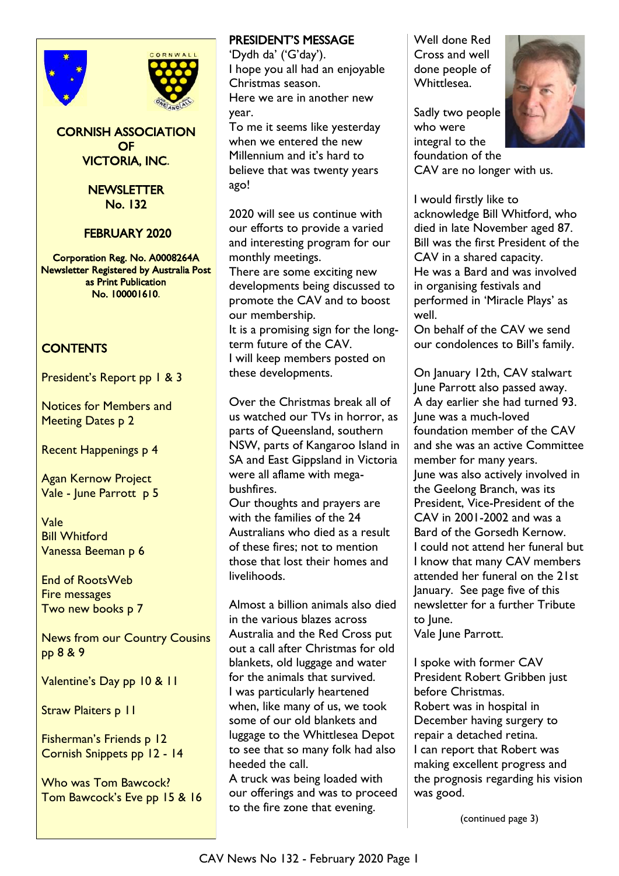



CORNISH ASSOCIATION **OF** VICTORIA, INC.

#### NEWSLETTER No. 132

FEBRUARY 2020

Corporation Reg. No. A0008264A Newsletter Registered by Australia Post as Print Publication No. 100001610.

# **CONTENTS**

President's Report pp 1 & 3

Notices for Members and Meeting Dates p 2

Recent Happenings p 4

Agan Kernow Project Vale - June Parrott p 5

Vale Bill Whitford Vanessa Beeman p 6

End of RootsWeb Fire messages Two new books p 7

News from our Country Cousins pp 8 & 9

Valentine's Day pp 10 & 11

Straw Plaiters p 11

Fisherman's Friends p 12 Cornish Snippets pp 12 - 14

Who was Tom Bawcock? Tom Bawcock's Eve pp 15 & 16

#### PRESIDENT'S MESSAGE

'Dydh da' ('G'day'). I hope you all had an enjoyable Christmas season. Here we are in another new year. To me it seems like yesterday

when we entered the new Millennium and it's hard to believe that was twenty years ago!

2020 will see us continue with our efforts to provide a varied and interesting program for our monthly meetings. There are some exciting new

developments being discussed to promote the CAV and to boost our membership. It is a promising sign for the long-

term future of the CAV. I will keep members posted on these developments.

Over the Christmas break all of us watched our TVs in horror, as parts of Queensland, southern NSW, parts of Kangaroo Island in SA and East Gippsland in Victoria were all aflame with megabushfires.

Our thoughts and prayers are with the families of the 24 Australians who died as a result of these fires; not to mention those that lost their homes and livelihoods.

Almost a billion animals also died in the various blazes across Australia and the Red Cross put out a call after Christmas for old blankets, old luggage and water for the animals that survived. I was particularly heartened when, like many of us, we took some of our old blankets and luggage to the Whittlesea Depot to see that so many folk had also heeded the call.

A truck was being loaded with our offerings and was to proceed to the fire zone that evening.

Well done Red Cross and well done people of Whittlesea.

Sadly two people who were integral to the foundation of the



CAV are no longer with us.

I would firstly like to acknowledge Bill Whitford, who died in late November aged 87. Bill was the first President of the CAV in a shared capacity. He was a Bard and was involved in organising festivals and performed in 'Miracle Plays' as well.

On behalf of the CAV we send our condolences to Bill's family.

On January 12th, CAV stalwart June Parrott also passed away. A day earlier she had turned 93. June was a much-loved foundation member of the CAV and she was an active Committee member for many years. June was also actively involved in the Geelong Branch, was its President, Vice-President of the CAV in 2001-2002 and was a Bard of the Gorsedh Kernow. I could not attend her funeral but I know that many CAV members attended her funeral on the 21st January. See page five of this newsletter for a further Tribute to June.

Vale June Parrott.

I spoke with former CAV President Robert Gribben just before Christmas. Robert was in hospital in December having surgery to repair a detached retina. I can report that Robert was making excellent progress and the prognosis regarding his vision was good.

(continued page 3)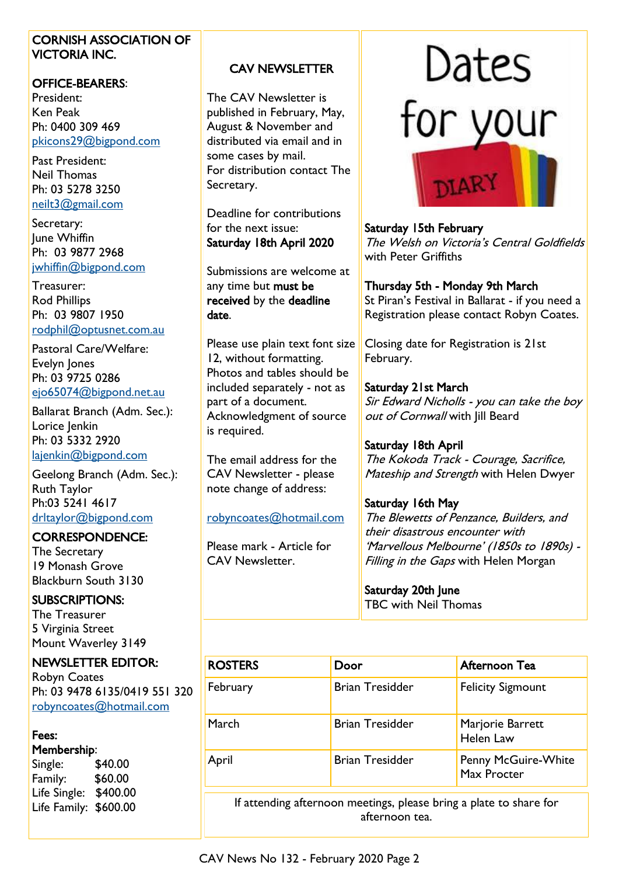#### CORNISH ASSOCIATION OF VICTORIA INC.

#### OFFICE-BEARERS:

President: Ken Peak Ph: 0400 309 469 [pkicons29@bigpond.com](mailto:pkicons29@bigpond.com)

Past President: Neil Thomas Ph: 03 5278 3250 [neilt3@gmail.com](mailto:neilt3@gmail.com)

Secretary: June Whiffin Ph: 03 9877 2968 [jwhiffin@bigpond.com](mailto:jwhiffin@bigpond.com)

Treasurer: Rod Phillips Ph: 03 9807 1950 [rodphil@optusnet.com.au](mailto:rodphil@optusnet.com.au)

Pastoral Care/Welfare: Evelyn Jones Ph: 03 9725 0286 [ejo65074@bigpond.net.au](mailto:ejo65074@bigpond.net.au)

Ballarat Branch (Adm. Sec.): Lorice Jenkin Ph: 03 5332 2920 [lajenkin@bigpond.com](mailto:lajenkin@bigpond.com)

Geelong Branch (Adm. Sec.): Ruth Taylor Ph:03 5241 4617 [drltaylor@bigpond.com](mailto:drltaylor@bigpond.com)

### CORRESPONDENCE:

The Secretary 19 Monash Grove Blackburn South 3130

#### SUBSCRIPTIONS:

The Treasurer 5 Virginia Street Mount Waverley 3149

### NEWSLETTER EDITOR:

Robyn Coates Ph: 03 9478 6135/0419 551 320 [robyncoates@hotmail.com](mailto:robyncoates@hotmail.com)

### Fees:

Membership:

Single: \$40.00 Family: \$60.00 Life Single: \$400.00 Life Family: \$600.00

# CAV NEWSLETTER

The CAV Newsletter is published in February, May, August & November and distributed via email and in some cases by mail. For distribution contact The Secretary.

Deadline for contributions for the next issue: Saturday 18th April 2020

Submissions are welcome at any time but must be received by the deadline date.

Please use plain text font size 12, without formatting. Photos and tables should be included separately - not as part of a document. Acknowledgment of source is required.

The email address for the CAV Newsletter - please note change of address:

[robyncoates@hotmail.com](mailto:robyncoates@hotmail.com)

Please mark - Article for CAV Newsletter.



### Saturday 15th February

The Welsh on Victoria's Central Goldfields with Peter Griffiths

#### Thursday 5th - Monday 9th March

St Piran's Festival in Ballarat - if you need a Registration please contact Robyn Coates.

Closing date for Registration is 21st February.

### Saturday 21st March

Sir Edward Nicholls - you can take the boy out of Cornwall with Jill Beard

### Saturday 18th April

The Kokoda Track - Courage, Sacrifice, Mateship and Strength with Helen Dwyer

# Saturday 16th May

The Blewetts of Penzance, Builders, and their disastrous encounter with 'Marvellous Melbourne' (1850s to 1890s) - Filling in the Gaps with Helen Morgan

Saturday 20th June TBC with Neil Thomas

| <b>ROSTERS</b> | Door                   | Afternoon Tea                             |  |
|----------------|------------------------|-------------------------------------------|--|
| February       | <b>Brian Tresidder</b> | <b>Felicity Sigmount</b>                  |  |
| March          | <b>Brian Tresidder</b> | Marjorie Barrett<br>Helen Law             |  |
| April          | <b>Brian Tresidder</b> | <b>Penny McGuire-White</b><br>Max Procter |  |
| . .            |                        |                                           |  |

If attending afternoon meetings, please bring a plate to share for afternoon tea.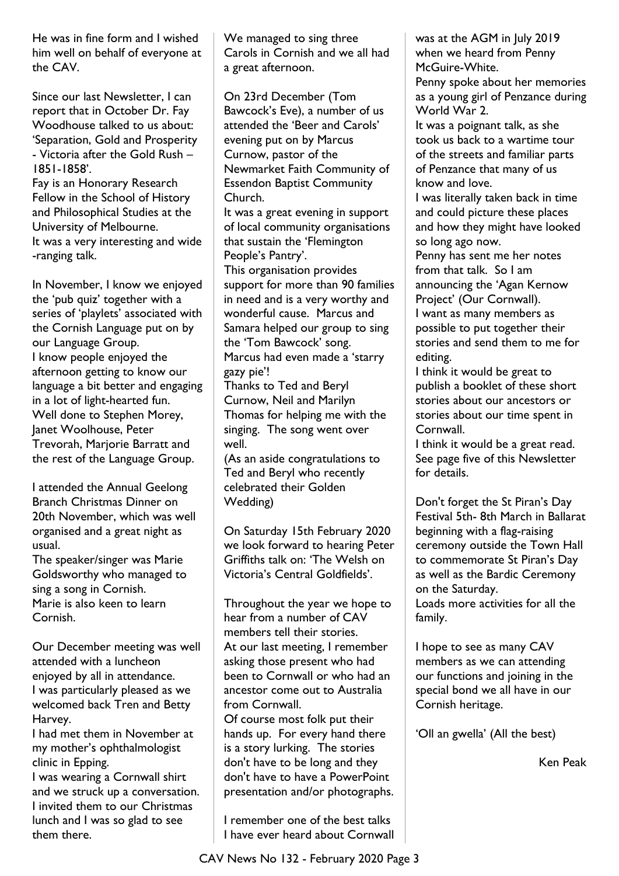He was in fine form and I wished him well on behalf of everyone at the CAV.

Since our last Newsletter, I can report that in October Dr. Fay Woodhouse talked to us about: 'Separation, Gold and Prosperity - Victoria after the Gold Rush – 1851-1858'.

Fay is an Honorary Research Fellow in the School of History and Philosophical Studies at the University of Melbourne. It was a very interesting and wide -ranging talk.

In November, I know we enjoyed the 'pub quiz' together with a series of 'playlets' associated with the Cornish Language put on by our Language Group. I know people enjoyed the afternoon getting to know our language a bit better and engaging in a lot of light-hearted fun. Well done to Stephen Morey, Janet Woolhouse, Peter Trevorah, Marjorie Barratt and the rest of the Language Group.

I attended the Annual Geelong Branch Christmas Dinner on 20th November, which was well organised and a great night as usual.

The speaker/singer was Marie Goldsworthy who managed to sing a song in Cornish. Marie is also keen to learn Cornish.

Our December meeting was well attended with a luncheon enjoyed by all in attendance. I was particularly pleased as we welcomed back Tren and Betty Harvey.

I had met them in November at my mother's ophthalmologist clinic in Epping.

I was wearing a Cornwall shirt and we struck up a conversation. I invited them to our Christmas lunch and I was so glad to see them there.

We managed to sing three Carols in Cornish and we all had a great afternoon.

On 23rd December (Tom Bawcock's Eve), a number of us attended the 'Beer and Carols' evening put on by Marcus Curnow, pastor of the Newmarket Faith Community of Essendon Baptist Community Church.

It was a great evening in support of local community organisations that sustain the 'Flemington People's Pantry'.

This organisation provides support for more than 90 families in need and is a very worthy and wonderful cause. Marcus and Samara helped our group to sing the 'Tom Bawcock' song. Marcus had even made a 'starry gazy pie'!

Thanks to Ted and Beryl Curnow, Neil and Marilyn Thomas for helping me with the singing. The song went over well.

(As an aside congratulations to Ted and Beryl who recently celebrated their Golden Wedding)

On Saturday 15th February 2020 we look forward to hearing Peter Griffiths talk on: 'The Welsh on Victoria's Central Goldfields'.

Throughout the year we hope to hear from a number of CAV members tell their stories. At our last meeting, I remember asking those present who had been to Cornwall or who had an ancestor come out to Australia from Cornwall.

Of course most folk put their hands up. For every hand there is a story lurking. The stories don't have to be long and they don't have to have a PowerPoint presentation and/or photographs.

I remember one of the best talks I have ever heard about Cornwall was at the AGM in July 2019 when we heard from Penny McGuire-White.

Penny spoke about her memories as a young girl of Penzance during World War 2.

It was a poignant talk, as she took us back to a wartime tour of the streets and familiar parts of Penzance that many of us know and love.

I was literally taken back in time and could picture these places and how they might have looked so long ago now.

Penny has sent me her notes from that talk. So I am announcing the 'Agan Kernow Project' (Our Cornwall). I want as many members as possible to put together their

stories and send them to me for editing.

I think it would be great to publish a booklet of these short stories about our ancestors or stories about our time spent in Cornwall.

I think it would be a great read. See page five of this Newsletter for details.

Don't forget the St Piran's Day Festival 5th- 8th March in Ballarat beginning with a flag-raising ceremony outside the Town Hall to commemorate St Piran's Day as well as the Bardic Ceremony on the Saturday. Loads more activities for all the family.

I hope to see as many CAV members as we can attending our functions and joining in the special bond we all have in our Cornish heritage.

'Oll an gwella' (All the best)

Ken Peak

CAV News No 132 - February 2020 Page 3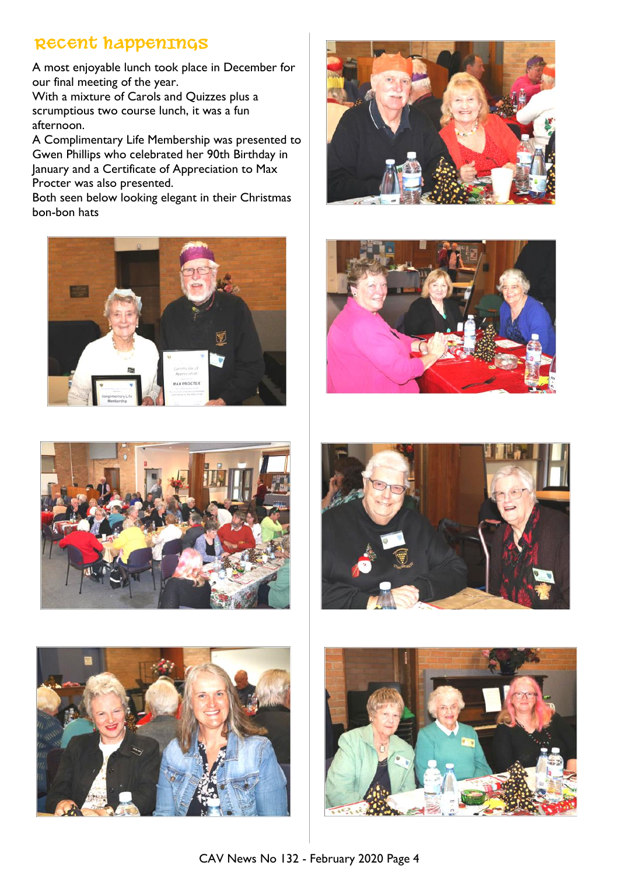# **RECENT HAPPENINGS**

A most enjoyable lunch took place in December for our final meeting of the year.

With a mixture of Carols and Quizzes plus a scrumptious two course lunch, it was a fun afternoon.

A Complimentary Life Membership was presented to Gwen Phillips who celebrated her 90th Birthday in January and a Certificate of Appreciation to Max Procter was also presented.

Both seen below looking elegant in their Christmas bon-bon hats













![](_page_3_Picture_11.jpeg)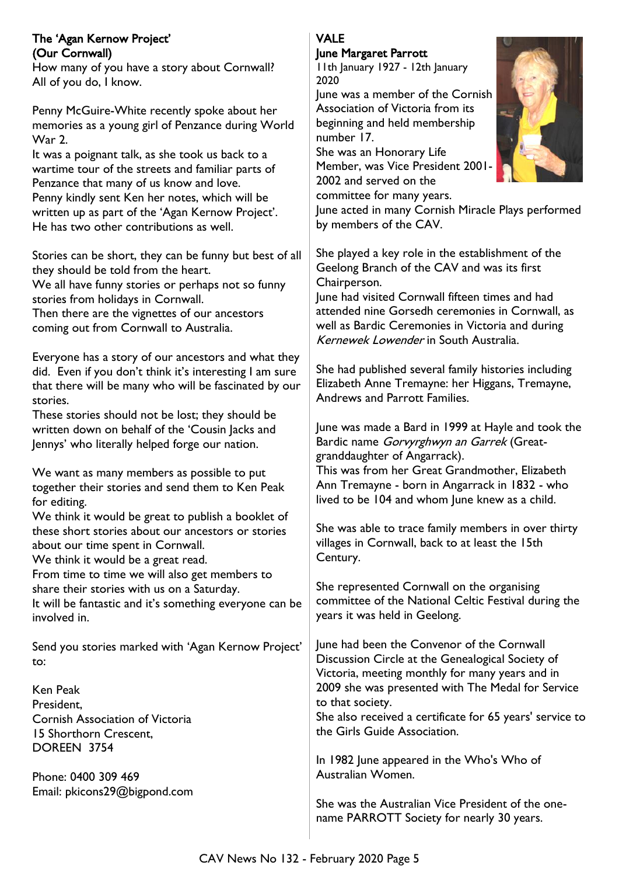#### The 'Agan Kernow Project' (Our Cornwall)

How many of you have a story about Cornwall? All of you do, I know.

Penny McGuire-White recently spoke about her memories as a young girl of Penzance during World War 2.

It was a poignant talk, as she took us back to a wartime tour of the streets and familiar parts of Penzance that many of us know and love. Penny kindly sent Ken her notes, which will be written up as part of the 'Agan Kernow Project'. He has two other contributions as well.

Stories can be short, they can be funny but best of all they should be told from the heart.

We all have funny stories or perhaps not so funny stories from holidays in Cornwall.

Then there are the vignettes of our ancestors coming out from Cornwall to Australia.

Everyone has a story of our ancestors and what they did. Even if you don't think it's interesting I am sure that there will be many who will be fascinated by our stories.

These stories should not be lost; they should be written down on behalf of the 'Cousin Jacks and Jennys' who literally helped forge our nation.

We want as many members as possible to put together their stories and send them to Ken Peak for editing. We think it would be great to publish a booklet of

these short stories about our ancestors or stories about our time spent in Cornwall. We think it would be a great read.

From time to time we will also get members to

share their stories with us on a Saturday.

It will be fantastic and it's something everyone can be involved in.

Send you stories marked with 'Agan Kernow Project' to:

Ken Peak **President** Cornish Association of Victoria 15 Shorthorn Crescent, DOREEN 3754

Phone: 0400 309 469 Email: pkicons29@bigpond.com

#### VALE June Margaret Parrott

11th January 1927 - 12th January 2020

June was a member of the Cornish Association of Victoria from its beginning and held membership number 17.

She was an Honorary Life Member, was Vice President 2001- 2002 and served on the

committee for many years.

June acted in many Cornish Miracle Plays performed by members of the CAV.

She played a key role in the establishment of the Geelong Branch of the CAV and was its first Chairperson.

June had visited Cornwall fifteen times and had attended nine Gorsedh ceremonies in Cornwall, as well as Bardic Ceremonies in Victoria and during Kernewek Lowender in South Australia.

She had published several family histories including Elizabeth Anne Tremayne: her Higgans, Tremayne, Andrews and Parrott Families.

June was made a Bard in 1999 at Hayle and took the Bardic name Gorvyrghwyn an Garrek (Greatgranddaughter of Angarrack).

This was from her Great Grandmother, Elizabeth Ann Tremayne - born in Angarrack in 1832 - who lived to be 104 and whom June knew as a child.

She was able to trace family members in over thirty villages in Cornwall, back to at least the 15th Century.

She represented Cornwall on the organising committee of the National Celtic Festival during the years it was held in Geelong.

June had been the Convenor of the Cornwall Discussion Circle at the Genealogical Society of Victoria, meeting monthly for many years and in 2009 she was presented with The Medal for Service to that society.

She also received a certificate for 65 years' service to the Girls Guide Association.

In 1982 June appeared in the Who's Who of Australian Women.

She was the Australian Vice President of the onename PARROTT Society for nearly 30 years.

![](_page_4_Picture_34.jpeg)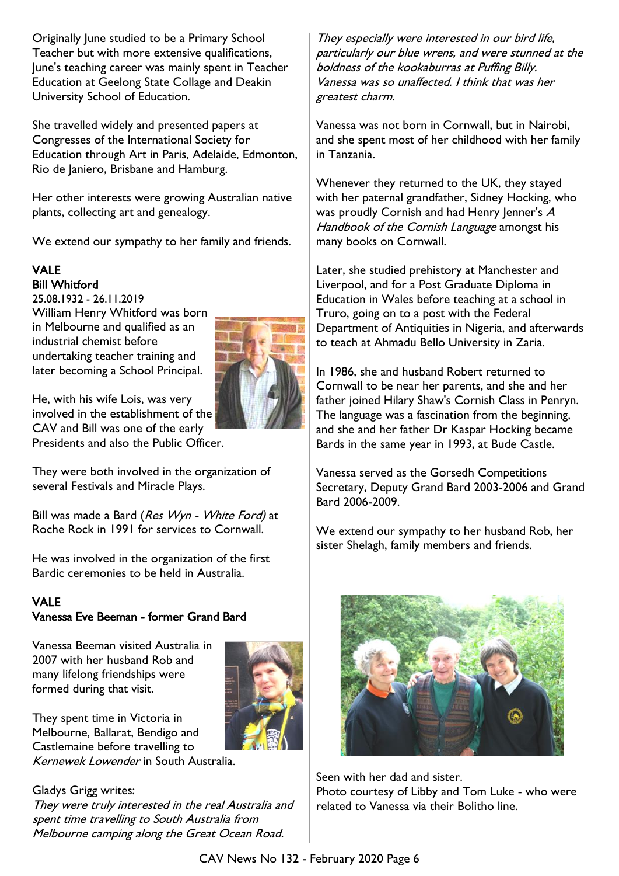Originally June studied to be a Primary School Teacher but with more extensive qualifications, June's teaching career was mainly spent in Teacher Education at Geelong State Collage and Deakin University School of Education.

She travelled widely and presented papers at Congresses of the International Society for Education through Art in Paris, Adelaide, Edmonton, Rio de Janiero, Brisbane and Hamburg.

Her other interests were growing Australian native plants, collecting art and genealogy.

We extend our sympathy to her family and friends.

# VALE Bill Whitford

25.08.1932 - 26.11.2019 William Henry Whitford was born in Melbourne and qualified as an industrial chemist before undertaking teacher training and later becoming a School Principal.

![](_page_5_Picture_6.jpeg)

He, with his wife Lois, was very involved in the establishment of the CAV and Bill was one of the early Presidents and also the Public Officer.

They were both involved in the organization of several Festivals and Miracle Plays.

Bill was made a Bard (Res Wyn - White Ford) at Roche Rock in 1991 for services to Cornwall.

He was involved in the organization of the first Bardic ceremonies to be held in Australia.

#### VALE Vanessa Eve Beeman - former Grand Bard

Vanessa Beeman visited Australia in 2007 with her husband Rob and many lifelong friendships were formed during that visit.

![](_page_5_Picture_13.jpeg)

They spent time in Victoria in Melbourne, Ballarat, Bendigo and Castlemaine before travelling to Kernewek Lowender in South Australia.

Gladys Grigg writes: They were truly interested in the real Australia and spent time travelling to South Australia from Melbourne camping along the Great Ocean Road.

They especially were interested in our bird life, particularly our blue wrens, and were stunned at the boldness of the kookaburras at Puffing Billy. Vanessa was so unaffected. I think that was her greatest charm.

Vanessa was not born in Cornwall, but in Nairobi, and she spent most of her childhood with her family in Tanzania.

Whenever they returned to the UK, they stayed with her paternal grandfather, Sidney Hocking, who was proudly Cornish and had Henry Jenner's A Handbook of the Cornish Language amongst his many books on Cornwall.

Later, she studied prehistory at Manchester and Liverpool, and for a Post Graduate Diploma in Education in Wales before teaching at a school in Truro, going on to a post with the Federal Department of Antiquities in Nigeria, and afterwards to teach at Ahmadu Bello University in Zaria.

In 1986, she and husband Robert returned to Cornwall to be near her parents, and she and her father joined Hilary Shaw's Cornish Class in Penryn. The language was a fascination from the beginning, and she and her father Dr Kaspar Hocking became Bards in the same year in 1993, at Bude Castle.

Vanessa served as the Gorsedh Competitions Secretary, Deputy Grand Bard 2003-2006 and Grand Bard 2006-2009.

We extend our sympathy to her husband Rob, her sister Shelagh, family members and friends.

![](_page_5_Picture_23.jpeg)

Seen with her dad and sister.

Photo courtesy of Libby and Tom Luke - who were related to Vanessa via their Bolitho line.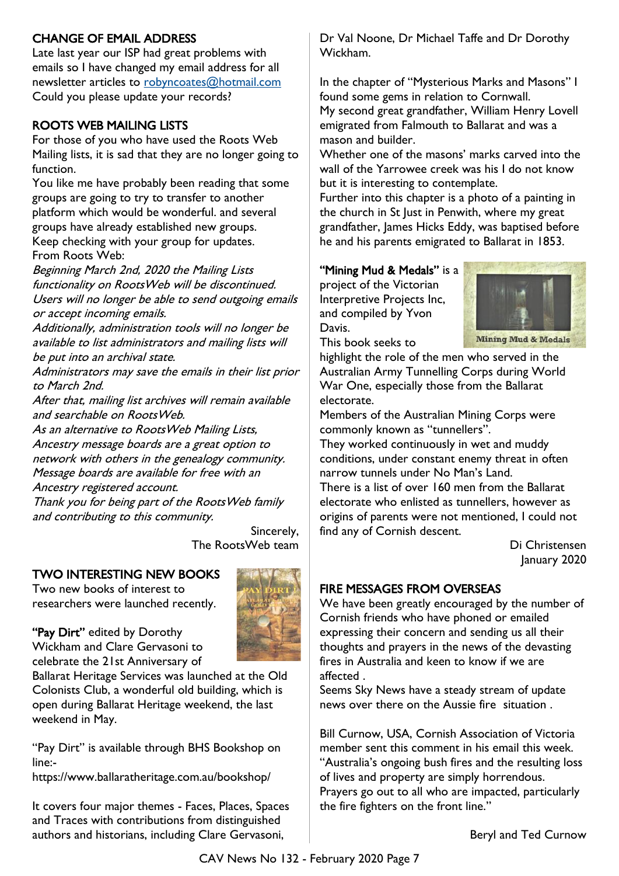# CHANGE OF EMAIL ADDRESS

Late last year our ISP had great problems with emails so I have changed my email address for all newsletter articles to [robyncoates@hotmail.com](mailto:robyncoates@hotmail.com) Could you please update your records?

# ROOTS WEB MAILING LISTS

For those of you who have used the Roots Web Mailing lists, it is sad that they are no longer going to function.

You like me have probably been reading that some groups are going to try to transfer to another platform which would be wonderful. and several groups have already established new groups. Keep checking with your group for updates. From Roots Web:

Beginning March 2nd, 2020 the Mailing Lists functionality on RootsWeb will be discontinued. Users will no longer be able to send outgoing emails or accept incoming emails.

Additionally, administration tools will no longer be available to list administrators and mailing lists will be put into an archival state.

Administrators may save the emails in their list prior to March 2nd.

After that, mailing list archives will remain available and searchable on RootsWeb.

As an alternative to RootsWeb Mailing Lists, Ancestry message boards are a great option to network with others in the genealogy community. Message boards are available for free with an Ancestry registered account.

Thank you for being part of the RootsWeb family and contributing to this community.

> Sincerely, The RootsWeb team

# TWO INTERESTING NEW BOOKS

Two new books of interest to researchers were launched recently.

![](_page_6_Picture_14.jpeg)

"Pay Dirt" edited by Dorothy Wickham and Clare Gervasoni to celebrate the 21st Anniversary of

Ballarat Heritage Services was launched at the Old Colonists Club, a wonderful old building, which is open during Ballarat Heritage weekend, the last weekend in May.

"Pay Dirt" is available through BHS Bookshop on line:-

https://www.ballaratheritage.com.au/bookshop/

It covers four major themes - Faces, Places, Spaces and Traces with contributions from distinguished authors and historians, including Clare Gervasoni,

Dr Val Noone, Dr Michael Taffe and Dr Dorothy Wickham.

In the chapter of "Mysterious Marks and Masons" I found some gems in relation to Cornwall. My second great grandfather, William Henry Lovell emigrated from Falmouth to Ballarat and was a mason and builder.

Whether one of the masons' marks carved into the wall of the Yarrowee creek was his I do not know but it is interesting to contemplate.

Further into this chapter is a photo of a painting in the church in St Just in Penwith, where my great grandfather, James Hicks Eddy, was baptised before he and his parents emigrated to Ballarat in 1853.

#### "Mining Mud & Medals" is a

project of the Victorian Interpretive Projects Inc, and compiled by Yvon Davis. This book seeks to

![](_page_6_Picture_26.jpeg)

**Mining Mud & Medals** 

highlight the role of the men who served in the Australian Army Tunnelling Corps during World War One, especially those from the Ballarat electorate.

Members of the Australian Mining Corps were commonly known as "tunnellers".

They worked continuously in wet and muddy conditions, under constant enemy threat in often narrow tunnels under No Man's Land.

There is a list of over 160 men from the Ballarat electorate who enlisted as tunnellers, however as origins of parents were not mentioned, I could not find any of Cornish descent.

> Di Christensen January 2020

# FIRE MESSAGES FROM OVERSEAS

We have been greatly encouraged by the number of Cornish friends who have phoned or emailed expressing their concern and sending us all their thoughts and prayers in the news of the devasting fires in Australia and keen to know if we are affected .

Seems Sky News have a steady stream of update news over there on the Aussie fire situation .

Bill Curnow, USA, Cornish Association of Victoria member sent this comment in his email this week. "Australia's ongoing bush fires and the resulting loss of lives and property are simply horrendous. Prayers go out to all who are impacted, particularly the fire fighters on the front line."

Beryl and Ted Curnow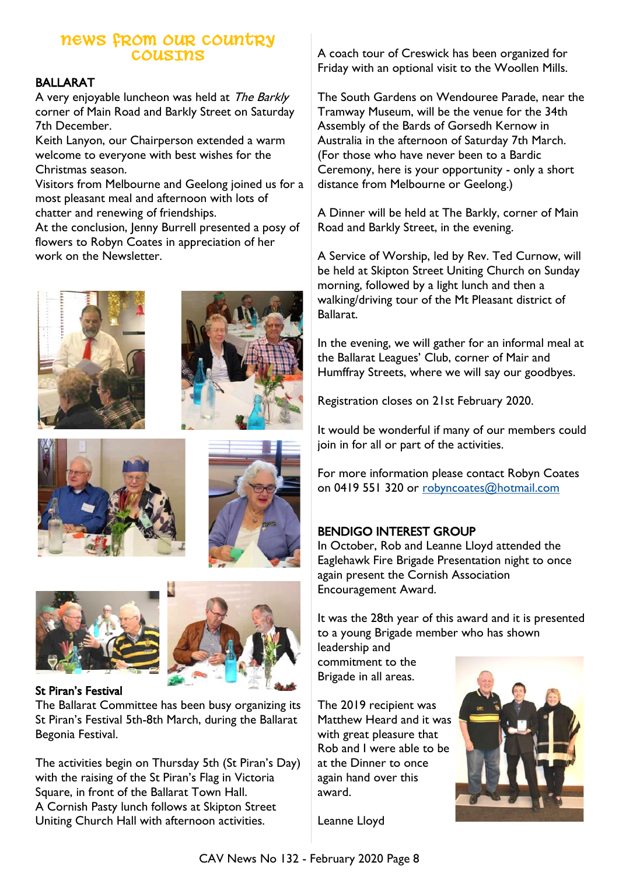# **NEWS FROM OUR COUNTRY COUSINS**

#### BALLARAT

A very enjoyable luncheon was held at The Barkly corner of Main Road and Barkly Street on Saturday 7th December.

Keith Lanyon, our Chairperson extended a warm welcome to everyone with best wishes for the Christmas season.

Visitors from Melbourne and Geelong joined us for a most pleasant meal and afternoon with lots of chatter and renewing of friendships.

At the conclusion, Jenny Burrell presented a posy of flowers to Robyn Coates in appreciation of her work on the Newsletter.

![](_page_7_Picture_6.jpeg)

![](_page_7_Picture_7.jpeg)

![](_page_7_Picture_8.jpeg)

![](_page_7_Picture_9.jpeg)

![](_page_7_Picture_10.jpeg)

#### St Piran's Festival

The Ballarat Committee has been busy organizing its St Piran's Festival 5th-8th March, during the Ballarat Begonia Festival.

The activities begin on Thursday 5th (St Piran's Day) with the raising of the St Piran's Flag in Victoria Square, in front of the Ballarat Town Hall. A Cornish Pasty lunch follows at Skipton Street Uniting Church Hall with afternoon activities.

A coach tour of Creswick has been organized for Friday with an optional visit to the Woollen Mills.

The South Gardens on Wendouree Parade, near the Tramway Museum, will be the venue for the 34th Assembly of the Bards of Gorsedh Kernow in Australia in the afternoon of Saturday 7th March. (For those who have never been to a Bardic Ceremony, here is your opportunity - only a short distance from Melbourne or Geelong.)

A Dinner will be held at The Barkly, corner of Main Road and Barkly Street, in the evening.

A Service of Worship, led by Rev. Ted Curnow, will be held at Skipton Street Uniting Church on Sunday morning, followed by a light lunch and then a walking/driving tour of the Mt Pleasant district of Ballarat.

In the evening, we will gather for an informal meal at the Ballarat Leagues' Club, corner of Mair and Humffray Streets, where we will say our goodbyes.

Registration closes on 21st February 2020.

It would be wonderful if many of our members could join in for all or part of the activities.

For more information please contact Robyn Coates on 0419 551 320 or [robyncoates@hotmail.com](mailto:robyncoates@hotmail.com)

### BENDIGO INTEREST GROUP

In October, Rob and Leanne Lloyd attended the Eaglehawk Fire Brigade Presentation night to once again present the Cornish Association Encouragement Award.

It was the 28th year of this award and it is presented to a young Brigade member who has shown leadership and

commitment to the Brigade in all areas.

The 2019 recipient was Matthew Heard and it was with great pleasure that Rob and I were able to be at the Dinner to once again hand over this award.

![](_page_7_Picture_27.jpeg)

Leanne Lloyd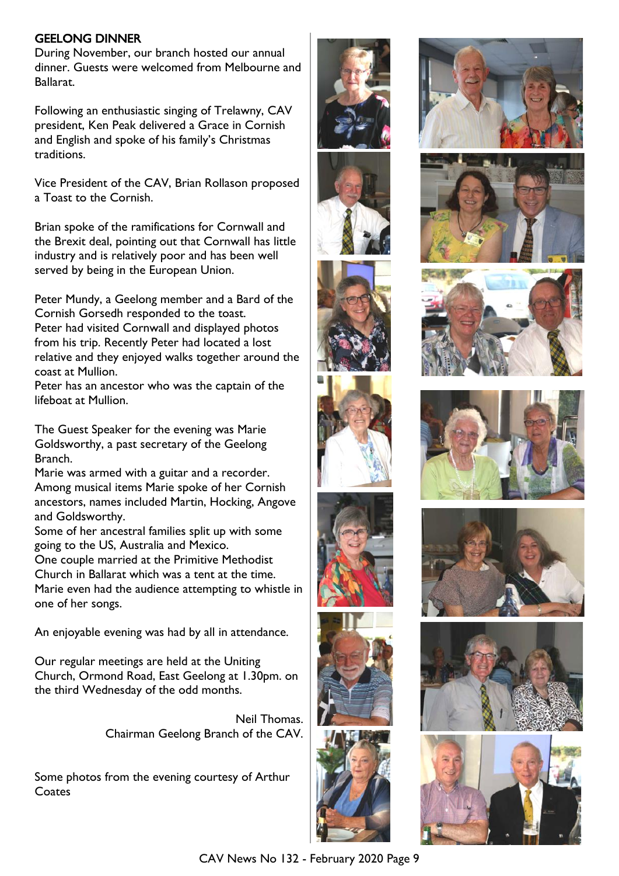#### GEELONG DINNER

During November, our branch hosted our annual dinner. Guests were welcomed from Melbourne and Ballarat.

Following an enthusiastic singing of Trelawny, CAV president, Ken Peak delivered a Grace in Cornish and English and spoke of his family's Christmas traditions.

Vice President of the CAV, Brian Rollason proposed a Toast to the Cornish.

Brian spoke of the ramifications for Cornwall and the Brexit deal, pointing out that Cornwall has little industry and is relatively poor and has been well served by being in the European Union.

Peter Mundy, a Geelong member and a Bard of the Cornish Gorsedh responded to the toast. Peter had visited Cornwall and displayed photos from his trip. Recently Peter had located a lost relative and they enjoyed walks together around the coast at Mullion.

Peter has an ancestor who was the captain of the lifeboat at Mullion.

The Guest Speaker for the evening was Marie Goldsworthy, a past secretary of the Geelong Branch.

Marie was armed with a guitar and a recorder. Among musical items Marie spoke of her Cornish ancestors, names included Martin, Hocking, Angove and Goldsworthy.

Some of her ancestral families split up with some going to the US, Australia and Mexico.

One couple married at the Primitive Methodist Church in Ballarat which was a tent at the time. Marie even had the audience attempting to whistle in one of her songs.

An enjoyable evening was had by all in attendance.

Our regular meetings are held at the Uniting Church, Ormond Road, East Geelong at 1.30pm. on the third Wednesday of the odd months.

> Neil Thomas. Chairman Geelong Branch of the CAV.

Some photos from the evening courtesy of Arthur **Coates** 

![](_page_8_Picture_15.jpeg)

![](_page_8_Picture_16.jpeg)

![](_page_8_Picture_17.jpeg)

![](_page_8_Picture_18.jpeg)

![](_page_8_Picture_19.jpeg)

![](_page_8_Picture_20.jpeg)

![](_page_8_Picture_21.jpeg)

![](_page_8_Picture_22.jpeg)

![](_page_8_Picture_23.jpeg)

![](_page_8_Picture_24.jpeg)

![](_page_8_Picture_25.jpeg)

![](_page_8_Picture_26.jpeg)

![](_page_8_Picture_27.jpeg)

![](_page_8_Picture_28.jpeg)

CAV News No 132 - February 2020 Page 9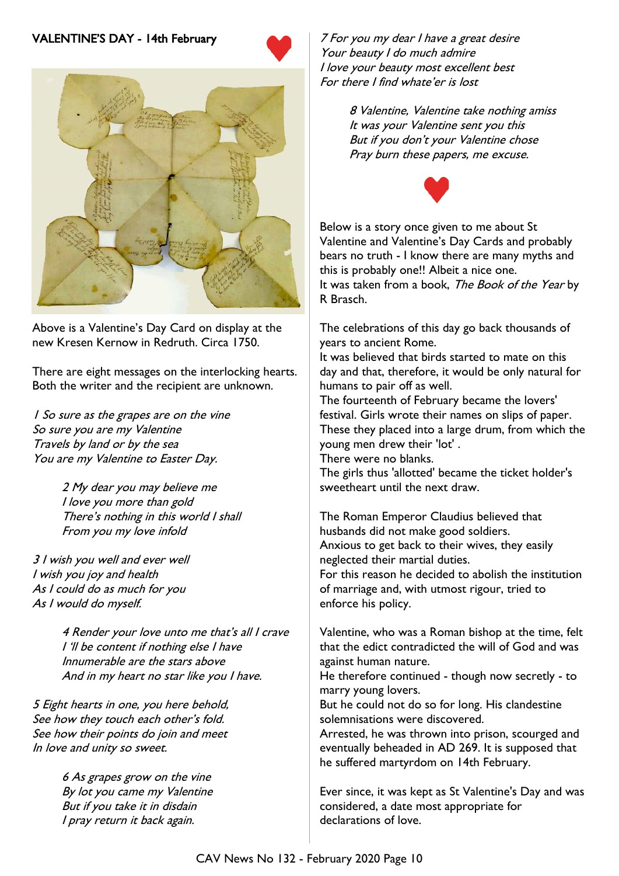# VALENTINE'S DAY - 14th February

![](_page_9_Picture_1.jpeg)

![](_page_9_Picture_2.jpeg)

Above is a Valentine's Day Card on display at the new Kresen Kernow in Redruth. Circa 1750.

There are eight messages on the interlocking hearts. Both the writer and the recipient are unknown.

1 So sure as the grapes are on the vine So sure you are my Valentine Travels by land or by the sea You are my Valentine to Easter Day.

> 2 My dear you may believe me I love you more than gold There's nothing in this world I shall From you my love infold

3 I wish you well and ever well I wish you joy and health As I could do as much for you As I would do myself.

> 4 Render your love unto me that's all I crave I 'll be content if nothing else I have Innumerable are the stars above And in my heart no star like you I have.

5 Eight hearts in one, you here behold, See how they touch each other's fold. See how their points do join and meet In love and unity so sweet.

> 6 As grapes grow on the vine By lot you came my Valentine But if you take it in disdain I pray return it back again.

7 For you my dear I have a great desire Your beauty I do much admire I love your beauty most excellent best For there I find whate'er is lost

> 8 Valentine, Valentine take nothing amiss It was your Valentine sent you this But if you don't your Valentine chose Pray burn these papers, me excuse.

![](_page_9_Picture_13.jpeg)

Below is a story once given to me about St Valentine and Valentine's Day Cards and probably bears no truth - I know there are many myths and this is probably one!! Albeit a nice one. It was taken from a book, The Book of the Year by R Brasch.

The celebrations of this day go back thousands of years to ancient Rome.

It was believed that birds started to mate on this day and that, therefore, it would be only natural for humans to pair off as well.

The fourteenth of February became the lovers' festival. Girls wrote their names on slips of paper. These they placed into a large drum, from which the young men drew their 'lot' .

There were no blanks.

The girls thus 'allotted' became the ticket holder's sweetheart until the next draw.

The Roman Emperor Claudius believed that husbands did not make good soldiers. Anxious to get back to their wives, they easily neglected their martial duties. For this reason he decided to abolish the institution

of marriage and, with utmost rigour, tried to enforce his policy.

Valentine, who was a Roman bishop at the time, felt that the edict contradicted the will of God and was against human nature.

He therefore continued - though now secretly - to marry young lovers.

But he could not do so for long. His clandestine solemnisations were discovered.

Arrested, he was thrown into prison, scourged and eventually beheaded in AD 269. It is supposed that he suffered martyrdom on 14th February.

Ever since, it was kept as St Valentine's Day and was considered, a date most appropriate for declarations of love.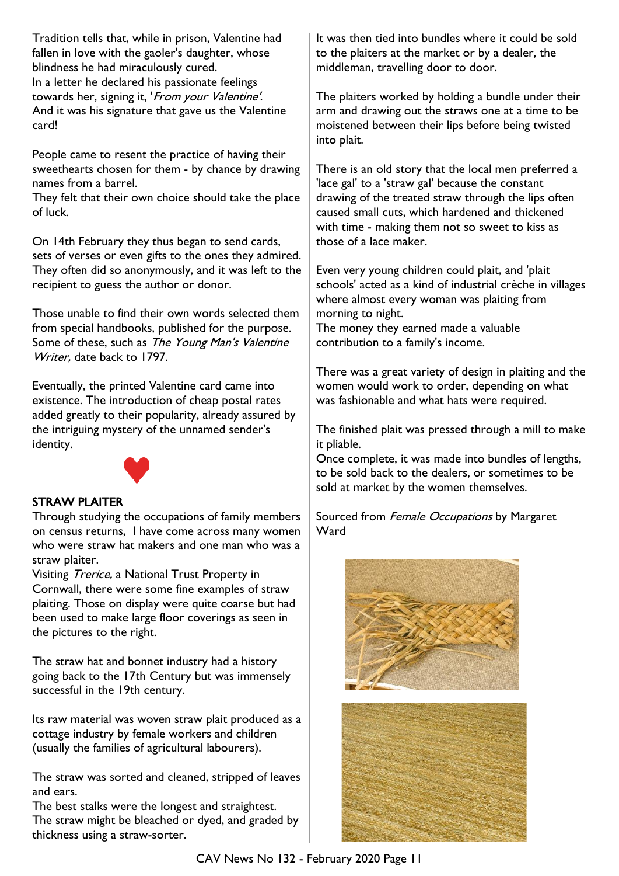Tradition tells that, while in prison, Valentine had fallen in love with the gaoler's daughter, whose blindness he had miraculously cured. In a letter he declared his passionate feelings towards her, signing it, 'From your Valentine'. And it was his signature that gave us the Valentine card!

People came to resent the practice of having their sweethearts chosen for them - by chance by drawing names from a barrel.

They felt that their own choice should take the place of luck.

On 14th February they thus began to send cards, sets of verses or even gifts to the ones they admired. They often did so anonymously, and it was left to the recipient to guess the author or donor.

Those unable to find their own words selected them from special handbooks, published for the purpose. Some of these, such as The Young Man's Valentine Writer, date back to 1797.

Eventually, the printed Valentine card came into existence. The introduction of cheap postal rates added greatly to their popularity, already assured by the intriguing mystery of the unnamed sender's identity.

![](_page_10_Picture_6.jpeg)

#### STRAW PLAITER

Through studying the occupations of family members on census returns, I have come across many women who were straw hat makers and one man who was a straw plaiter.

Visiting Trerice, a National Trust Property in Cornwall, there were some fine examples of straw plaiting. Those on display were quite coarse but had been used to make large floor coverings as seen in the pictures to the right.

The straw hat and bonnet industry had a history going back to the 17th Century but was immensely successful in the 19th century.

Its raw material was woven straw plait produced as a cottage industry by female workers and children (usually the families of agricultural labourers).

The straw was sorted and cleaned, stripped of leaves and ears.

The best stalks were the longest and straightest. The straw might be bleached or dyed, and graded by thickness using a straw-sorter.

It was then tied into bundles where it could be sold to the plaiters at the market or by a dealer, the middleman, travelling door to door.

The plaiters worked by holding a bundle under their arm and drawing out the straws one at a time to be moistened between their lips before being twisted into plait.

There is an old story that the local men preferred a 'lace gal' to a 'straw gal' because the constant drawing of the treated straw through the lips often caused small cuts, which hardened and thickened with time - making them not so sweet to kiss as those of a lace maker.

Even very young children could plait, and 'plait schools' acted as a kind of industrial crèche in villages where almost every woman was plaiting from morning to night.

The money they earned made a valuable contribution to a family's income.

There was a great variety of design in plaiting and the women would work to order, depending on what was fashionable and what hats were required.

The finished plait was pressed through a mill to make it pliable.

Once complete, it was made into bundles of lengths, to be sold back to the dealers, or sometimes to be sold at market by the women themselves.

Sourced from Female Occupations by Margaret **Ward** 

![](_page_10_Picture_23.jpeg)

![](_page_10_Picture_24.jpeg)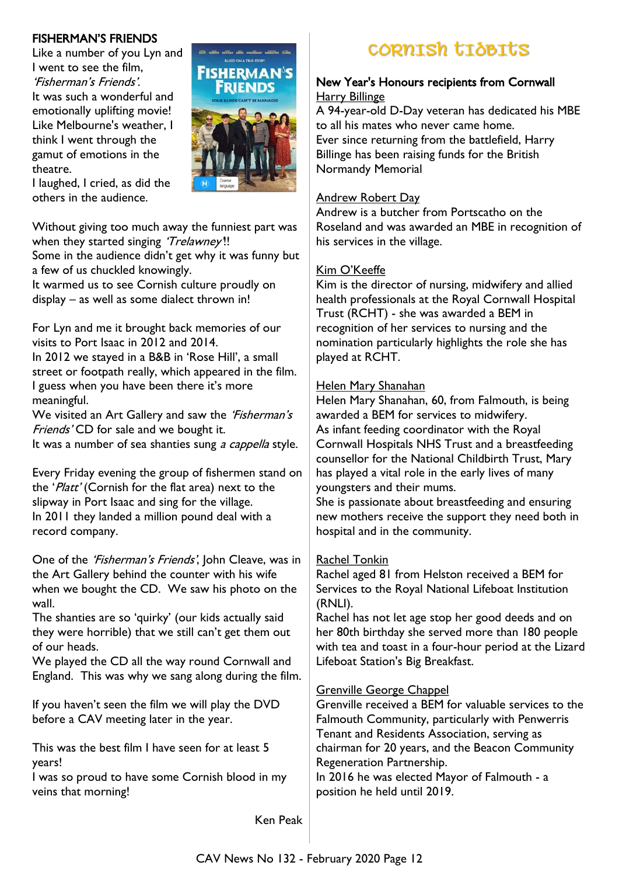Like a number of you Lyn and I went to see the film, 'Fisherman's Friends'. It was such a wonderful and emotionally uplifting movie! Like Melbourne's weather, I think I went through the gamut of emotions in the theatre.

![](_page_11_Picture_2.jpeg)

I laughed, I cried, as did the others in the audience.

Without giving too much away the funniest part was when they started singing 'Trelawney'!! Some in the audience didn't get why it was funny but

a few of us chuckled knowingly.

It warmed us to see Cornish culture proudly on display – as well as some dialect thrown in!

For Lyn and me it brought back memories of our visits to Port Isaac in 2012 and 2014.

In 2012 we stayed in a B&B in 'Rose Hill', a small street or footpath really, which appeared in the film. I guess when you have been there it's more meaningful.

We visited an Art Gallery and saw the 'Fisherman's Friends' CD for sale and we bought it.

It was a number of sea shanties sung a cappella style.

Every Friday evening the group of fishermen stand on the 'Platt' (Cornish for the flat area) next to the slipway in Port Isaac and sing for the village. In 2011 they landed a million pound deal with a record company.

One of the 'Fisherman's Friends', John Cleave, was in the Art Gallery behind the counter with his wife when we bought the CD. We saw his photo on the wall.

The shanties are so 'quirky' (our kids actually said they were horrible) that we still can't get them out of our heads.

We played the CD all the way round Cornwall and England. This was why we sang along during the film.

If you haven't seen the film we will play the DVD before a CAV meeting later in the year.

This was the best film I have seen for at least 5 years!

I was so proud to have some Cornish blood in my veins that morning!

Ken Peak

# FISHERMAN'S FRIENDS<br>Like a number of you Lyn and **First Electronic CORNISh tidBItS**

#### New Year's Honours recipients from Cornwall Harry Billinge

A 94-year-old D-Day veteran has dedicated his MBE to all his mates who never came home. Ever since returning from the battlefield, Harry Billinge has been raising funds for the British Normandy Memorial

# Andrew Robert Day

Andrew is a butcher from Portscatho on the Roseland and was awarded an MBE in recognition of his services in the village.

# Kim O'Keeffe

Kim is the director of nursing, midwifery and allied health professionals at the Royal Cornwall Hospital Trust (RCHT) - she was awarded a BEM in recognition of her services to nursing and the nomination particularly highlights the role she has played at RCHT.

# Helen Mary Shanahan

Helen Mary Shanahan, 60, from Falmouth, is being awarded a BEM for services to midwifery. As infant feeding coordinator with the Royal Cornwall Hospitals NHS Trust and a breastfeeding counsellor for the National Childbirth Trust, Mary has played a vital role in the early lives of many youngsters and their mums.

She is passionate about breastfeeding and ensuring new mothers receive the support they need both in hospital and in the community.

# Rachel Tonkin

Rachel aged 81 from Helston received a BEM for Services to the Royal National Lifeboat Institution (RNLI).

Rachel has not let age stop her good deeds and on her 80th birthday she served more than 180 people with tea and toast in a four-hour period at the Lizard Lifeboat Station's Big Breakfast.

# Grenville George Chappel

Grenville received a BEM for valuable services to the Falmouth Community, particularly with Penwerris Tenant and Residents Association, serving as chairman for 20 years, and the Beacon Community Regeneration Partnership. In 2016 he was elected Mayor of Falmouth - a position he held until 2019.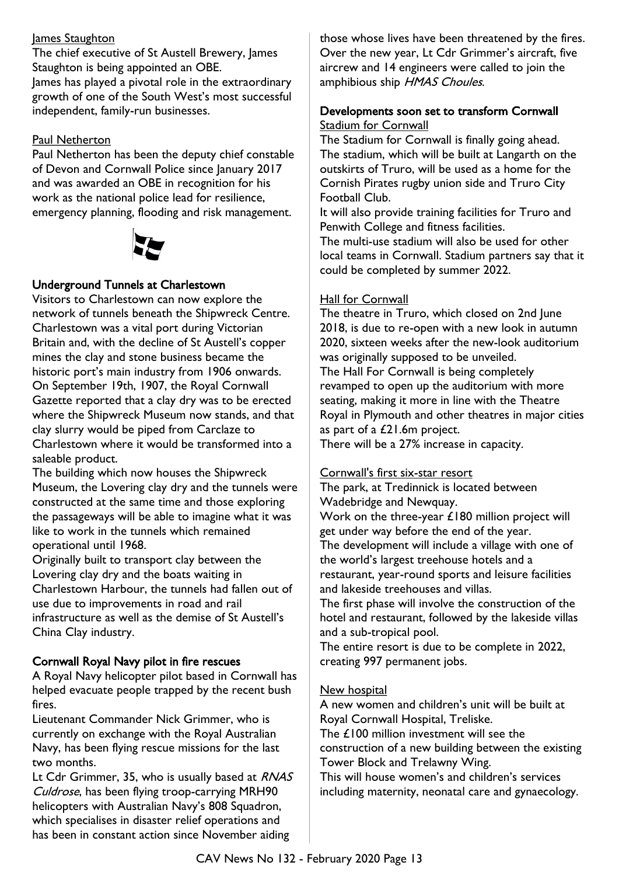#### James Staughton

The chief executive of St Austell Brewery, James Staughton is being appointed an OBE. James has played a pivotal role in the extraordinary growth of one of the South West's most successful independent, family-run businesses.

#### Paul Netherton

Paul Netherton has been the deputy chief constable of Devon and Cornwall Police since January 2017 and was awarded an OBE in recognition for his work as the national police lead for resilience, emergency planning, flooding and risk management.

![](_page_12_Picture_4.jpeg)

#### Underground Tunnels at Charlestown

Visitors to Charlestown can now explore the network of tunnels beneath the Shipwreck Centre. Charlestown was a vital port during Victorian Britain and, with the decline of St Austell's copper mines the clay and stone business became the historic port's main industry from 1906 onwards. On September 19th, 1907, the Royal Cornwall Gazette reported that a clay dry was to be erected where the Shipwreck Museum now stands, and that clay slurry would be piped from Carclaze to Charlestown where it would be transformed into a saleable product.

The building which now houses the Shipwreck Museum, the Lovering clay dry and the tunnels were constructed at the same time and those exploring the passageways will be able to imagine what it was like to work in the tunnels which remained operational until 1968.

Originally built to transport clay between the Lovering clay dry and the boats waiting in Charlestown Harbour, the tunnels had fallen out of use due to improvements in road and rail infrastructure as well as the demise of St Austell's China Clay industry.

#### Cornwall Royal Navy pilot in fire rescues

A Royal Navy helicopter pilot based in Cornwall has helped evacuate people trapped by the recent bush fires.

Lieutenant Commander Nick Grimmer, who is currently on exchange with the Royal Australian Navy, has been flying rescue missions for the last two months.

Lt Cdr Grimmer, 35, who is usually based at RNAS Culdrose, has been flying troop-carrying MRH90 helicopters with Australian Navy's 808 Squadron, which specialises in disaster relief operations and has been in constant action since November aiding

those whose lives have been threatened by the fires. Over the new year, Lt Cdr Grimmer's aircraft, five aircrew and 14 engineers were called to join the amphibious ship HMAS Choules.

#### Developments soon set to transform Cornwall Stadium for Cornwall

The Stadium for Cornwall is finally going ahead. The stadium, which will be built at Langarth on the outskirts of Truro, will be used as a home for the Cornish Pirates rugby union side and Truro City Football Club.

It will also provide training facilities for Truro and Penwith College and fitness facilities.

The multi-use stadium will also be used for other local teams in Cornwall. Stadium partners say that it could be completed by summer 2022.

#### Hall for Cornwall

The theatre in Truro, which closed on 2nd June 2018, is due to re-open with a new look in autumn 2020, sixteen weeks after the new-look auditorium was originally supposed to be unveiled. The Hall For Cornwall is being completely revamped to open up the auditorium with more seating, making it more in line with the Theatre Royal in Plymouth and other theatres in major cities as part of a £21.6m project.

There will be a 27% increase in capacity.

#### Cornwall's first six-star resort

The park, at Tredinnick is located between Wadebridge and Newquay. Work on the three-year £180 million project will get under way before the end of the year. The development will include a village with one of the world's largest treehouse hotels and a restaurant, year-round sports and leisure facilities and lakeside treehouses and villas.

The first phase will involve the construction of the hotel and restaurant, followed by the lakeside villas and a sub-tropical pool.

The entire resort is due to be complete in 2022, creating 997 permanent jobs.

#### New hospital

A new women and children's unit will be built at Royal Cornwall Hospital, Treliske. The £100 million investment will see the construction of a new building between the existing Tower Block and Trelawny Wing. This will house women's and children's services

including maternity, neonatal care and gynaecology.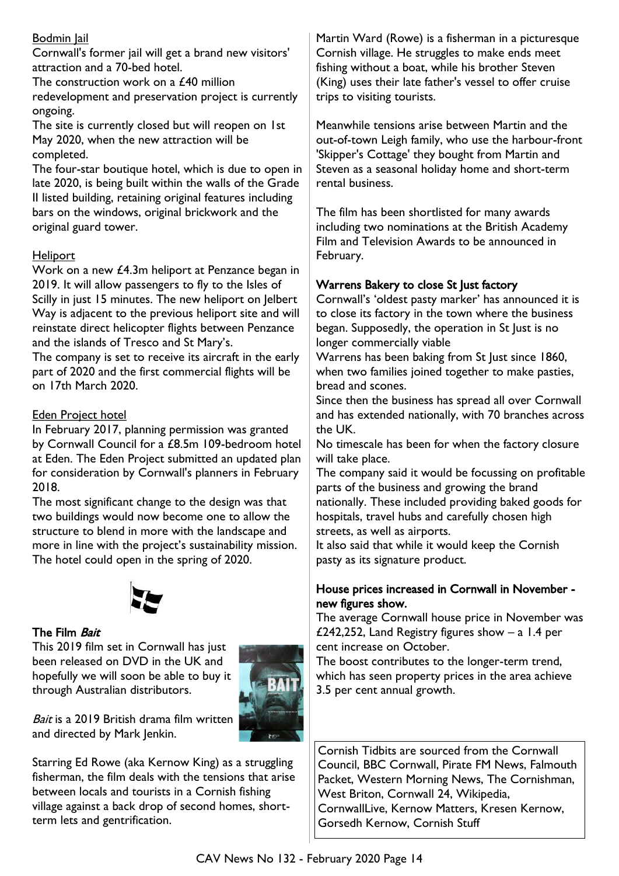# Bodmin Jail

Cornwall's former jail will get a brand new visitors' attraction and a 70-bed hotel.

The construction work on a £40 million redevelopment and preservation project is currently ongoing.

The site is currently closed but will reopen on 1st May 2020, when the new attraction will be completed.

The four-star boutique hotel, which is due to open in late 2020, is being built within the walls of the Grade II listed building, retaining original features including bars on the windows, original brickwork and the original guard tower.

#### **Heliport**

Work on a new £4.3m heliport at Penzance began in 2019. It will allow passengers to fly to the Isles of Scilly in just 15 minutes. The new heliport on Jelbert Way is adjacent to the previous heliport site and will reinstate direct helicopter flights between Penzance and the islands of Tresco and St Mary's.

The company is set to receive its aircraft in the early part of 2020 and the first commercial flights will be on 17th March 2020.

#### Eden Project hotel

In February 2017, planning permission was granted by Cornwall Council for a £8.5m 109-bedroom hotel at Eden. The Eden Project submitted an updated plan for consideration by Cornwall's planners in February 2018.

The most significant change to the design was that two buildings would now become one to allow the structure to blend in more with the landscape and more in line with the project's sustainability mission. The hotel could open in the spring of 2020.

![](_page_13_Picture_11.jpeg)

#### The Film Bait

This 2019 film set in Cornwall has just been released on DVD in the UK and hopefully we will soon be able to buy it through Australian distributors.

![](_page_13_Picture_14.jpeg)

Bait is a 2019 British drama film written and directed by Mark Jenkin.

Starring Ed Rowe (aka Kernow King) as a struggling fisherman, the film deals with the tensions that arise between locals and tourists in a Cornish fishing village against a back drop of second homes, shortterm lets and gentrification.

Martin Ward (Rowe) is a fisherman in a picturesque Cornish village. He struggles to make ends meet fishing without a boat, while his brother Steven (King) uses their late father's vessel to offer cruise trips to visiting tourists.

Meanwhile tensions arise between Martin and the out-of-town Leigh family, who use the harbour-front 'Skipper's Cottage' they bought from Martin and Steven as a seasonal holiday home and short-term rental business.

The film has been shortlisted for many awards including two nominations at the British Academy Film and Television Awards to be announced in February.

# Warrens Bakery to close St Just factory

Cornwall's 'oldest pasty marker' has announced it is to close its factory in the town where the business began. Supposedly, the operation in St Just is no longer commercially viable

Warrens has been baking from St Just since 1860, when two families joined together to make pasties, bread and scones.

Since then the business has spread all over Cornwall and has extended nationally, with 70 branches across the UK.

No timescale has been for when the factory closure will take place.

The company said it would be focussing on profitable parts of the business and growing the brand nationally. These included providing baked goods for hospitals, travel hubs and carefully chosen high streets, as well as airports.

It also said that while it would keep the Cornish pasty as its signature product.

### House prices increased in Cornwall in November new figures show.

The average Cornwall house price in November was £242,252, Land Registry figures show – a 1.4 per cent increase on October.

The boost contributes to the longer-term trend, which has seen property prices in the area achieve 3.5 per cent annual growth.

Cornish Tidbits are sourced from the Cornwall Council, BBC Cornwall, Pirate FM News, Falmouth Packet, Western Morning News, The Cornishman, West Briton, Cornwall 24, Wikipedia, CornwallLive, Kernow Matters, Kresen Kernow, Gorsedh Kernow, Cornish Stuff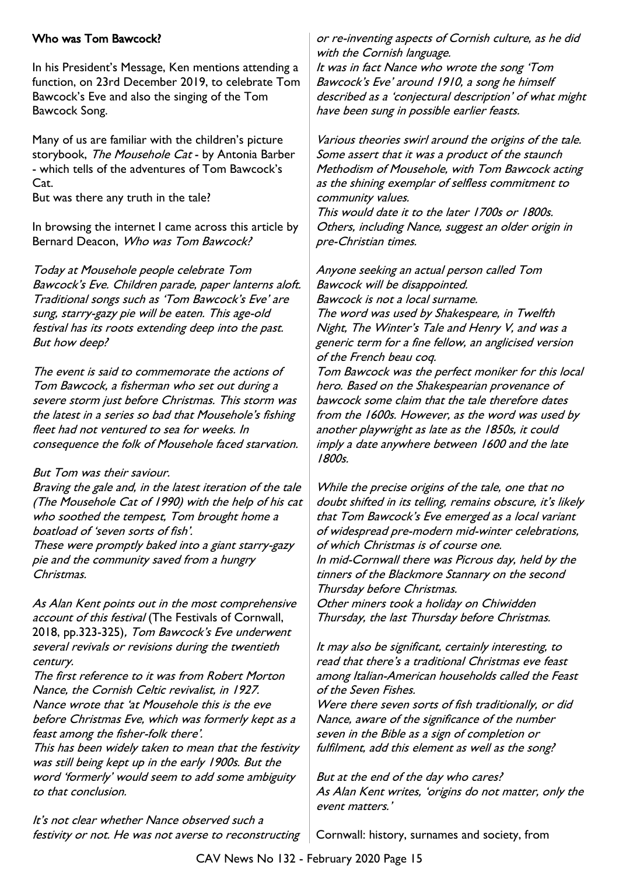#### Who was Tom Bawcock?

In his President's Message, Ken mentions attending a function, on 23rd December 2019, to celebrate Tom Bawcock's Eve and also the singing of the Tom Bawcock Song.

Many of us are familiar with the children's picture storybook, The Mousehole Cat - by Antonia Barber - which tells of the adventures of Tom Bawcock's Cat.

But was there any truth in the tale?

In browsing the internet I came across this article by Bernard Deacon, Who was Tom Bawcock?

Today at Mousehole people celebrate Tom Bawcock's Eve. Children parade, paper lanterns aloft. Traditional songs such as 'Tom Bawcock's Eve' are sung, starry-gazy pie will be eaten. This age-old festival has its roots extending deep into the past. But how deep?

The event is said to commemorate the actions of Tom Bawcock, a fisherman who set out during a severe storm just before Christmas. This storm was the latest in a series so bad that Mousehole's fishing fleet had not ventured to sea for weeks. In consequence the folk of Mousehole faced starvation.

#### But Tom was their saviour.

Braving the gale and, in the latest iteration of the tale (The Mousehole Cat of 1990) with the help of his cat who soothed the tempest, Tom brought home a boatload of 'seven sorts of fish'. These were promptly baked into a giant starry-gazy

pie and the community saved from a hungry Christmas.

As Alan Kent points out in the most comprehensive account of this festival (The Festivals of Cornwall, 2018, pp.323-325), Tom Bawcock's Eve underwent several revivals or revisions during the twentieth century.

The first reference to it was from Robert Morton Nance, the Cornish Celtic revivalist, in 1927. Nance wrote that 'at Mousehole this is the eve before Christmas Eve, which was formerly kept as a feast among the fisher-folk there'.

This has been widely taken to mean that the festivity was still being kept up in the early 1900s. But the word 'formerly' would seem to add some ambiguity to that conclusion.

It's not clear whether Nance observed such a festivity or not. He was not averse to reconstructing or re-inventing aspects of Cornish culture, as he did with the Cornish language.

It was in fact Nance who wrote the song 'Tom Bawcock's Eve' around 1910, a song he himself described as a 'conjectural description' of what might have been sung in possible earlier feasts.

Various theories swirl around the origins of the tale. Some assert that it was a product of the staunch Methodism of Mousehole, with Tom Bawcock acting as the shining exemplar of selfless commitment to community values.

This would date it to the later 1700s or 1800s. Others, including Nance, suggest an older origin in pre-Christian times.

Anyone seeking an actual person called Tom Bawcock will be disappointed. Bawcock is not a local surname. The word was used by Shakespeare, in Twelfth

Night, The Winter's Tale and Henry V, and was a generic term for a fine fellow, an anglicised version of the French beau coq.

Tom Bawcock was the perfect moniker for this local hero. Based on the Shakespearian provenance of bawcock some claim that the tale therefore dates from the 1600s. However, as the word was used by another playwright as late as the 1850s, it could imply a date anywhere between 1600 and the late 1800s.

While the precise origins of the tale, one that no doubt shifted in its telling, remains obscure, it's likely that Tom Bawcock's Eve emerged as a local variant of widespread pre-modern mid-winter celebrations, of which Christmas is of course one. In mid-Cornwall there was Picrous day, held by the tinners of the Blackmore Stannary on the second Thursday before Christmas.

Other miners took a holiday on Chiwidden Thursday, the last Thursday before Christmas.

It may also be significant, certainly interesting, to read that there's a traditional Christmas eve feast among Italian-American households called the Feast of the Seven Fishes.

Were there seven sorts of fish traditionally, or did Nance, aware of the significance of the number seven in the Bible as a sign of completion or fulfilment, add this element as well as the song?

But at the end of the day who cares? As Alan Kent writes, 'origins do not matter, only the event matters.'

Cornwall: history, surnames and society, from